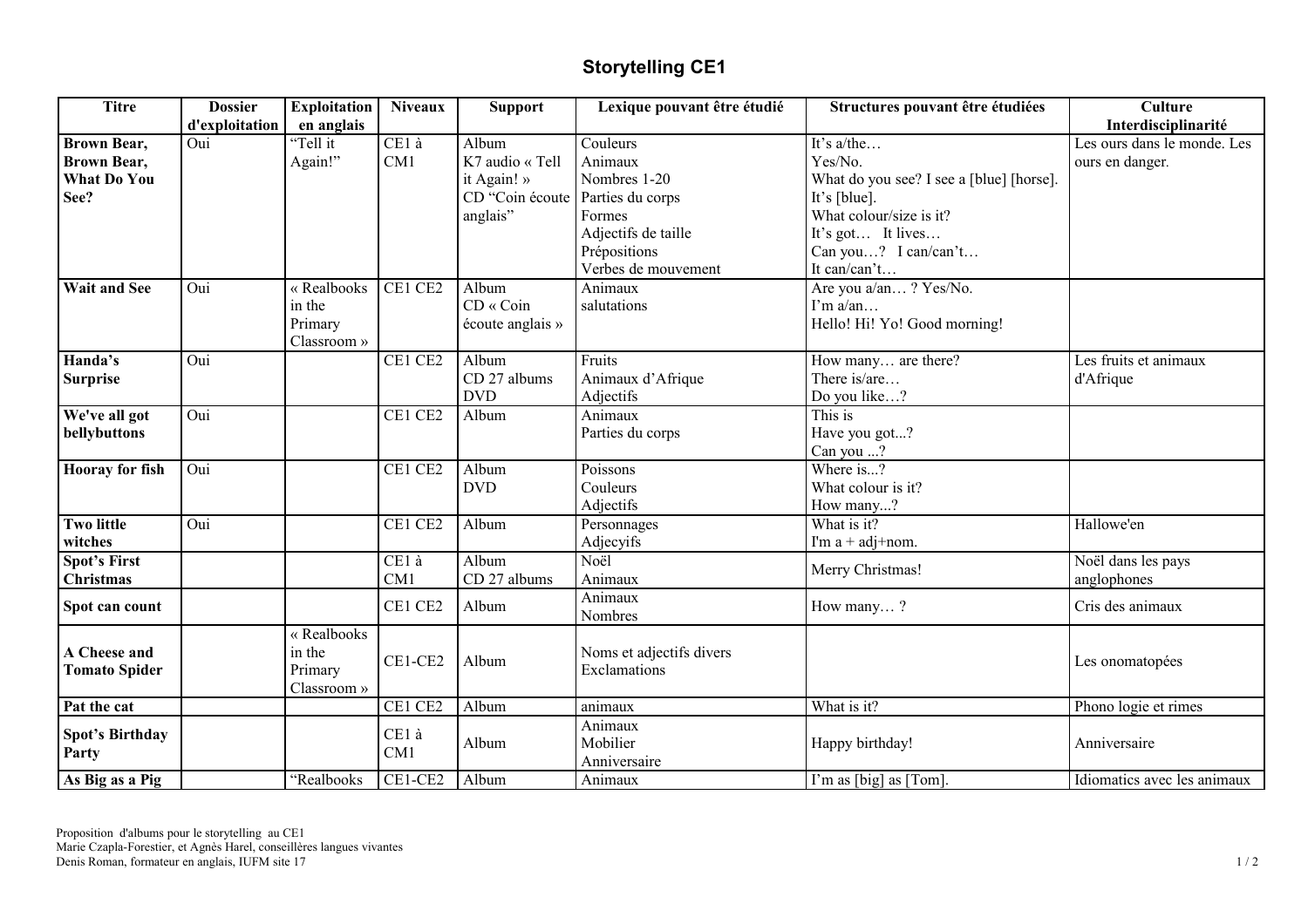## **Storytelling CE1**

| <b>Titre</b>           | <b>Dossier</b> | <b>Exploitation</b> | <b>Niveaux</b> | <b>Support</b>   | Lexique pouvant être étudié | Structures pouvant être étudiées         | <b>Culture</b>              |
|------------------------|----------------|---------------------|----------------|------------------|-----------------------------|------------------------------------------|-----------------------------|
|                        | d'exploitation | en anglais          |                |                  |                             |                                          | Interdisciplinarité         |
| <b>Brown Bear,</b>     | Oui            | "Tell it            | CE1 à          | Album            | Couleurs                    | It's $a$ /the                            | Les ours dans le monde. Les |
| <b>Brown Bear,</b>     |                | Again!"             | CM1            | K7 audio « Tell  | Animaux                     | Yes/No.                                  | ours en danger.             |
| <b>What Do You</b>     |                |                     |                | it Again! »      | Nombres 1-20                | What do you see? I see a [blue] [horse]. |                             |
| See?                   |                |                     |                | CD "Coin écoute  | Parties du corps            | It's [blue].                             |                             |
|                        |                |                     |                | anglais"         | Formes                      | What colour/size is it?                  |                             |
|                        |                |                     |                |                  | Adjectifs de taille         | It's got It lives                        |                             |
|                        |                |                     |                |                  | Prépositions                | Can you? I can/can't                     |                             |
|                        |                |                     |                |                  | Verbes de mouvement         | It can/can't                             |                             |
| <b>Wait and See</b>    | Oui            | « Realbooks         | CE1 CE2        | Album            | Animaux                     | Are you a/an? Yes/No.                    |                             |
|                        |                | in the              |                | CD « Coin        | salutations                 | $\Gamma$ m a/an                          |                             |
|                        |                | Primary             |                | écoute anglais » |                             | Hello! Hi! Yo! Good morning!             |                             |
|                        |                | Classroom »         |                |                  |                             |                                          |                             |
| Handa's                | Oui            |                     | CE1 CE2        | Album            | Fruits                      | How many are there?                      | Les fruits et animaux       |
| <b>Surprise</b>        |                |                     |                | CD 27 albums     | Animaux d'Afrique           | There is/are                             | d'Afrique                   |
|                        |                |                     |                | <b>DVD</b>       | Adjectifs                   | Do you like?                             |                             |
| We've all got          | Oui            |                     | CE1 CE2        | Album            | Animaux                     | This is                                  |                             |
| bellybuttons           |                |                     |                |                  | Parties du corps            | Have you got?                            |                             |
|                        |                |                     |                |                  |                             | Can you ?                                |                             |
| <b>Hooray</b> for fish | Oui            |                     | CE1 CE2        | Album            | Poissons                    | Where is?                                |                             |
|                        |                |                     |                | <b>DVD</b>       | Couleurs                    | What colour is it?                       |                             |
|                        |                |                     |                |                  | Adjectifs                   | How many?                                |                             |
| <b>Two little</b>      | Oui            |                     | CE1 CE2        | Album            | Personnages                 | What is it?                              | Hallowe'en                  |
| witches                |                |                     |                |                  | Adjecyifs                   | I'm $a + adj + nom$ .                    |                             |
| <b>Spot's First</b>    |                |                     | CE1 à          | Album            | Noël                        |                                          | Noël dans les pays          |
| <b>Christmas</b>       |                |                     | CM1            | CD 27 albums     | Animaux                     | Merry Christmas!                         | anglophones                 |
|                        |                |                     | CE1 CE2        | Album            | Animaux                     |                                          |                             |
| Spot can count         |                |                     |                |                  | Nombres                     | How many?                                | Cris des animaux            |
|                        |                | « Realbooks         |                |                  |                             |                                          |                             |
| A Cheese and           |                | in the              | CE1-CE2        | Album            | Noms et adjectifs divers    |                                          | Les onomatopées             |
| <b>Tomato Spider</b>   |                | Primary             |                |                  | Exclamations                |                                          |                             |
|                        |                | Classroom »         |                |                  |                             |                                          |                             |
| Pat the cat            |                |                     | CE1 CE2        | Album            | animaux                     | What is it?                              | Phono logie et rimes        |
| Spot's Birthday        |                |                     | CE1 à          |                  | Animaux                     |                                          |                             |
| Party                  |                |                     | CM1            | Album            | Mobilier                    | Happy birthday!                          | Anniversaire                |
|                        |                |                     |                |                  | Anniversaire                |                                          |                             |
| As Big as a Pig        |                | "Realbooks          | CE1-CE2        | Album            | Animaux                     | I'm as [big] as [Tom].                   | Idiomatics avec les animaux |